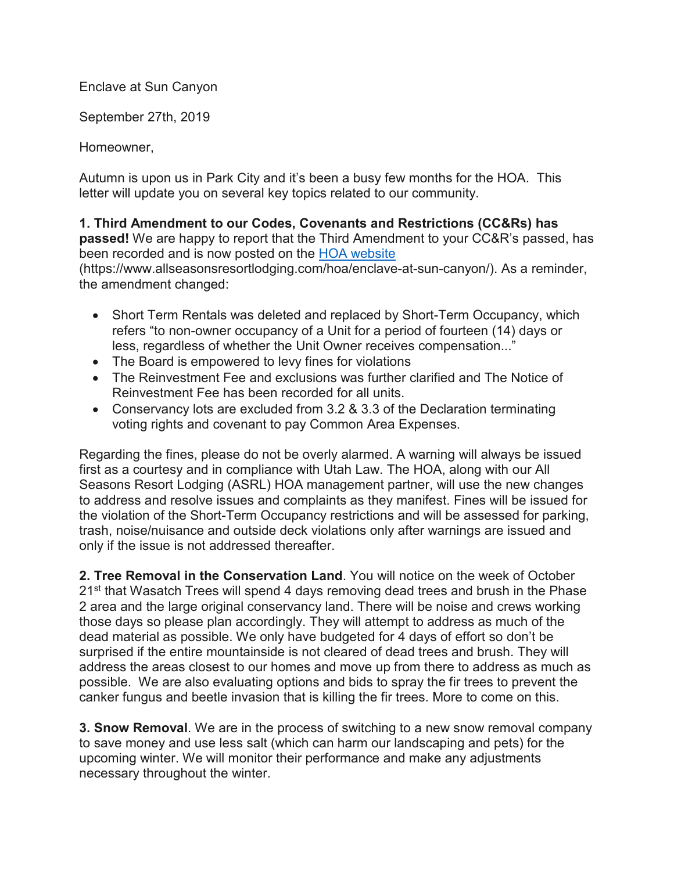Enclave at Sun Canyon

September 27th, 2019

Homeowner,

Autumn is upon us in Park City and it's been a busy few months for the HOA. This letter will update you on several key topics related to our community.

**1. Third Amendment to our Codes, Covenants and Restrictions (CC&Rs) has passed!** We are happy to report that the Third Amendment to your CC&R's passed, has been recorded and is now posted on the HOA website

(https://www.allseasonsresortlodging.com/hoa/enclave-at-sun-canyon/). As a reminder, the amendment changed:

- Short Term Rentals was deleted and replaced by Short-Term Occupancy, which refers "to non-owner occupancy of a Unit for a period of fourteen (14) days or less, regardless of whether the Unit Owner receives compensation..."
- The Board is empowered to levy fines for violations
- The Reinvestment Fee and exclusions was further clarified and The Notice of Reinvestment Fee has been recorded for all units.
- Conservancy lots are excluded from 3.2 & 3.3 of the Declaration terminating voting rights and covenant to pay Common Area Expenses.

Regarding the fines, please do not be overly alarmed. A warning will always be issued first as a courtesy and in compliance with Utah Law. The HOA, along with our All Seasons Resort Lodging (ASRL) HOA management partner, will use the new changes to address and resolve issues and complaints as they manifest. Fines will be issued for the violation of the Short-Term Occupancy restrictions and will be assessed for parking, trash, noise/nuisance and outside deck violations only after warnings are issued and only if the issue is not addressed thereafter.

**2. Tree Removal in the Conservation Land**. You will notice on the week of October 21<sup>st</sup> that Wasatch Trees will spend 4 days removing dead trees and brush in the Phase 2 area and the large original conservancy land. There will be noise and crews working those days so please plan accordingly. They will attempt to address as much of the dead material as possible. We only have budgeted for 4 days of effort so don't be surprised if the entire mountainside is not cleared of dead trees and brush. They will address the areas closest to our homes and move up from there to address as much as possible. We are also evaluating options and bids to spray the fir trees to prevent the canker fungus and beetle invasion that is killing the fir trees. More to come on this.

**3. Snow Removal**. We are in the process of switching to a new snow removal company to save money and use less salt (which can harm our landscaping and pets) for the upcoming winter. We will monitor their performance and make any adjustments necessary throughout the winter.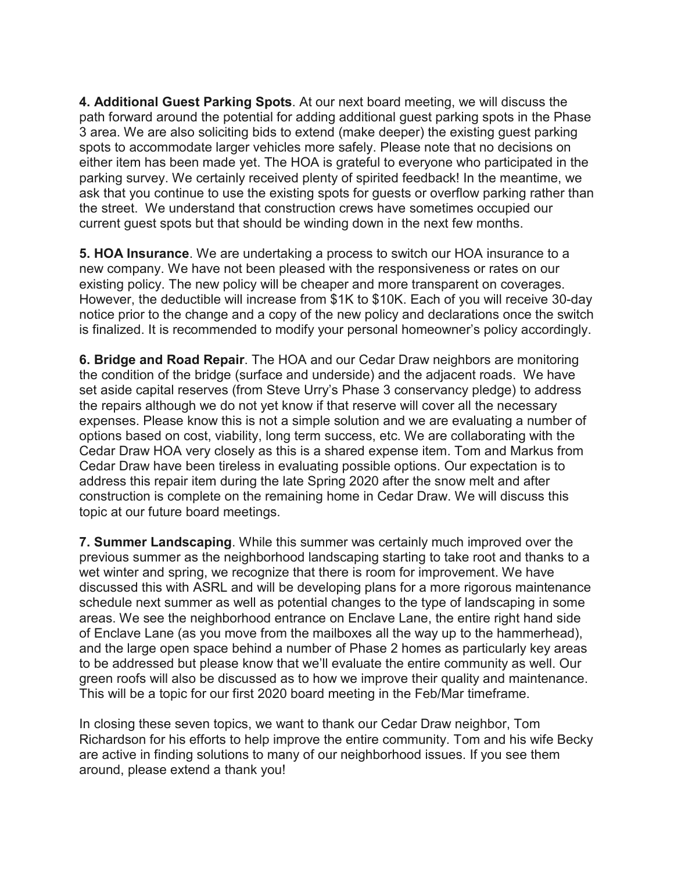**4. Additional Guest Parking Spots**. At our next board meeting, we will discuss the path forward around the potential for adding additional guest parking spots in the Phase 3 area. We are also soliciting bids to extend (make deeper) the existing guest parking spots to accommodate larger vehicles more safely. Please note that no decisions on either item has been made yet. The HOA is grateful to everyone who participated in the parking survey. We certainly received plenty of spirited feedback! In the meantime, we ask that you continue to use the existing spots for guests or overflow parking rather than the street. We understand that construction crews have sometimes occupied our current guest spots but that should be winding down in the next few months.

**5. HOA Insurance**. We are undertaking a process to switch our HOA insurance to a new company. We have not been pleased with the responsiveness or rates on our existing policy. The new policy will be cheaper and more transparent on coverages. However, the deductible will increase from \$1K to \$10K. Each of you will receive 30-day notice prior to the change and a copy of the new policy and declarations once the switch is finalized. It is recommended to modify your personal homeowner's policy accordingly.

**6. Bridge and Road Repair**. The HOA and our Cedar Draw neighbors are monitoring the condition of the bridge (surface and underside) and the adjacent roads. We have set aside capital reserves (from Steve Urry's Phase 3 conservancy pledge) to address the repairs although we do not yet know if that reserve will cover all the necessary expenses. Please know this is not a simple solution and we are evaluating a number of options based on cost, viability, long term success, etc. We are collaborating with the Cedar Draw HOA very closely as this is a shared expense item. Tom and Markus from Cedar Draw have been tireless in evaluating possible options. Our expectation is to address this repair item during the late Spring 2020 after the snow melt and after construction is complete on the remaining home in Cedar Draw. We will discuss this topic at our future board meetings.

**7. Summer Landscaping**. While this summer was certainly much improved over the previous summer as the neighborhood landscaping starting to take root and thanks to a wet winter and spring, we recognize that there is room for improvement. We have discussed this with ASRL and will be developing plans for a more rigorous maintenance schedule next summer as well as potential changes to the type of landscaping in some areas. We see the neighborhood entrance on Enclave Lane, the entire right hand side of Enclave Lane (as you move from the mailboxes all the way up to the hammerhead), and the large open space behind a number of Phase 2 homes as particularly key areas to be addressed but please know that we'll evaluate the entire community as well. Our green roofs will also be discussed as to how we improve their quality and maintenance. This will be a topic for our first 2020 board meeting in the Feb/Mar timeframe.

In closing these seven topics, we want to thank our Cedar Draw neighbor, Tom Richardson for his efforts to help improve the entire community. Tom and his wife Becky are active in finding solutions to many of our neighborhood issues. If you see them around, please extend a thank you!